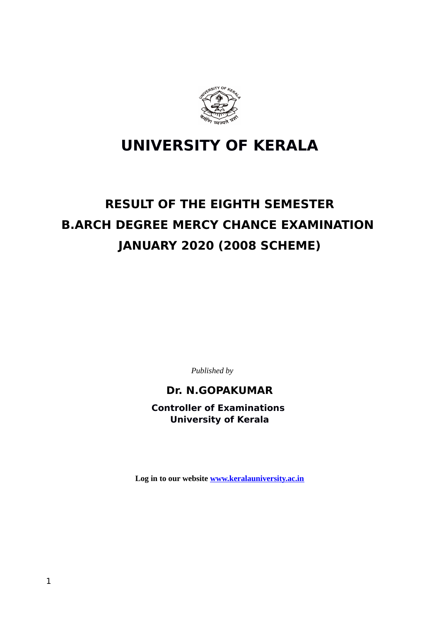

# **UNIVERSITY OF KERALA**

# **RESULT OF THE EIGHTH SEMESTER B.ARCH DEGREE MERCY CHANCE EXAMINATION JANUARY 2020 (2008 SCHEME)**

*Published by*

### **Dr. N.GOPAKUMAR**

**Controller of Examinations University of Kerala**

**Log in to our website [www.keralauniversity.ac.in](http://www.keralauniversity.ac.in/)**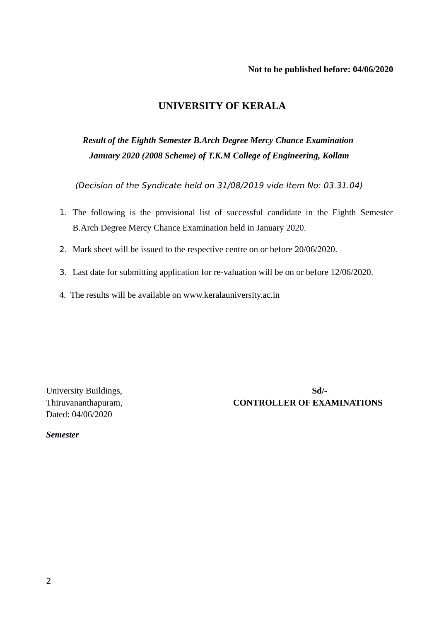#### **Not to be published before: 04/06/2020**

#### **UNIVERSITY OF KERALA**

## *Result of the Eighth Semester B.Arch Degree Mercy Chance Examination January 2020 (2008 Scheme) of T.K.M College of Engineering, Kollam*

(Decision of the Syndicate held on 31/08/2019 vide Item No: 03.31.04)

- 1. The following is the provisional list of successful candidate in the Eighth Semester B.Arch Degree Mercy Chance Examination held in January 2020.
- 2. Mark sheet will be issued to the respective centre on or before 20/06/2020.
- 3. Last date for submitting application for re-valuation will be on or before 12/06/2020.
- 4. The results will be available on www.keralauniversity.ac.in

Dated: 04/06/2020

University Buildings, Soll-Thiruvananthapuram, **CONTROLLER OF EXAMINATIONS**

*Semester*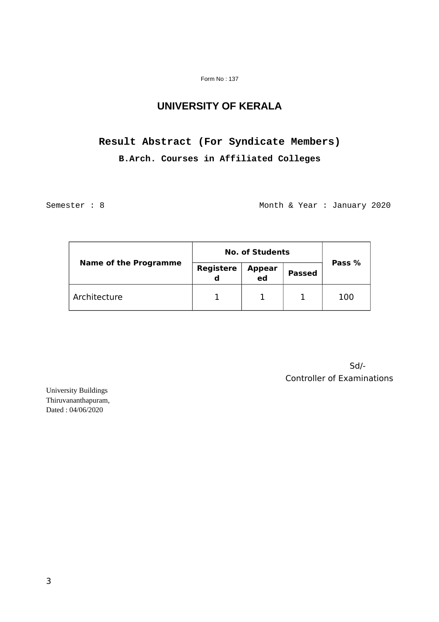#### Form No : 137

### **UNIVERSITY OF KERALA**

# **Result Abstract (For Syndicate Members) B.Arch. Courses in Affiliated Colleges**

Semester : 8 Month & Year : January 2020

| <b>Name of the Programme</b> | <b>No. of Students</b> |              |               |        |
|------------------------------|------------------------|--------------|---------------|--------|
|                              | Registere<br>d         | Appear<br>ed | <b>Passed</b> | Pass % |
| Architecture                 |                        |              |               | 100    |

Sd/- Controller of Examinations

University Buildings Thiruvananthapuram, Dated : 04/06/2020